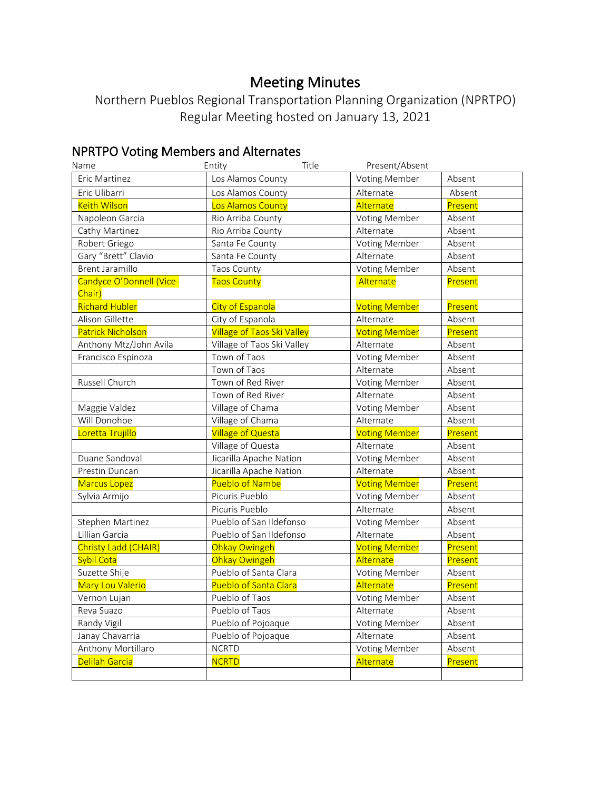# Meeting Minutes

Northern Pueblos Regional Transportation Planning Organization (NPRTPO) Regular Meeting hosted on January 13, 2021

# NPRTPO Voting Members and Alternates

| Name                     | Entity<br>Title                   | Present/Absent       |         |
|--------------------------|-----------------------------------|----------------------|---------|
| Eric Martinez            | Los Alamos County                 | <b>Voting Member</b> | Absent  |
| Eric Ulibarri            | Los Alamos County                 | Alternate            | Absent  |
| <b>Keith Wilson</b>      | Los Alamos County                 | Alternate            | Present |
| Napoleon Garcia          | Rio Arriba County                 | <b>Voting Member</b> | Absent  |
| Cathy Martinez           | Rio Arriba County                 | Alternate            | Absent  |
| Robert Griego            | Santa Fe County                   | <b>Voting Member</b> | Absent  |
| Gary "Brett" Clavio      | Santa Fe County                   | Alternate            | Absent  |
| <b>Brent Jaramillo</b>   | Taos County                       | <b>Voting Member</b> | Absent  |
| Candyce O'Donnell (Vice- | <b>Taos County</b>                | Alternate            | Present |
| Chair)                   |                                   |                      |         |
| <b>Richard Hubler</b>    | <b>City of Espanola</b>           | <b>Voting Member</b> | Present |
| Alison Gillette          | City of Espanola                  | Alternate            | Absent  |
| <b>Patrick Nicholson</b> | <b>Village of Taos Ski Valley</b> | <b>Voting Member</b> | Present |
| Anthony Mtz/John Avila   | Village of Taos Ski Valley        | Alternate            | Absent  |
| Francisco Espinoza       | Town of Taos                      | <b>Voting Member</b> | Absent  |
|                          | Town of Taos                      | Alternate            | Absent  |
| Russell Church           | Town of Red River                 | <b>Voting Member</b> | Absent  |
|                          | Town of Red River                 | Alternate            | Absent  |
| Maggie Valdez            | Village of Chama                  | <b>Voting Member</b> | Absent  |
| Will Donohoe             | Village of Chama                  | Alternate            | Absent  |
| Loretta Trujillo         | <b>Village of Questa</b>          | <b>Voting Member</b> | Present |
|                          | Village of Questa                 | Alternate            | Absent  |
| Duane Sandoval           | Jicarilla Apache Nation           | Voting Member        | Absent  |
| Prestin Duncan           | Jicarilla Apache Nation           | Alternate            | Absent  |
| <b>Marcus Lopez</b>      | <b>Pueblo of Nambe</b>            | <b>Voting Member</b> | Present |
| Sylvia Armijo            | Picuris Pueblo                    | Voting Member        | Absent  |
|                          | Picuris Pueblo                    | Alternate            | Absent  |
| Stephen Martinez         | Pueblo of San Ildefonso           | <b>Voting Member</b> | Absent  |
| Lillian Garcia           | Pueblo of San Ildefonso           | Alternate            | Absent  |
| Christy Ladd (CHAIR)     | Ohkay Owingeh                     | <b>Voting Member</b> | Present |
| Sybil Cota               | Ohkay Owingeh                     | Alternate            | Present |
| Suzette Shije            | Pueblo of Santa Clara             | Voting Member        | Absent  |
| Mary Lou Valerio         | Pueblo of Santa Clara             | Alternate            | Present |
| Vernon Lujan             | Pueblo of Taos                    | Voting Member        | Absent  |
| Reva Suazo               | Pueblo of Taos                    | Alternate            | Absent  |
| Randy Vigil              | Pueblo of Pojoaque                | <b>Voting Member</b> | Absent  |
| Janay Chavarria          | Pueblo of Pojoaque                | Alternate            | Absent  |
| Anthony Mortillaro       | <b>NCRTD</b>                      | <b>Voting Member</b> | Absent  |
| Delilah Garcia           | <b>NCRTD</b>                      | Alternate            | Present |
|                          |                                   |                      |         |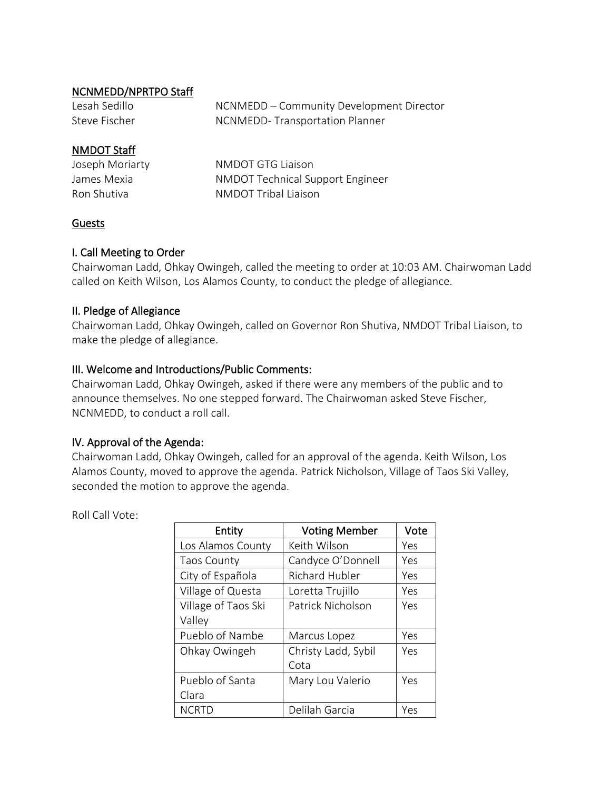#### NCNMEDD/NPRTPO Staff

| Lesah Sedillo | NCNMEDD - Community Development Director |
|---------------|------------------------------------------|
| Steve Fischer | NCNMEDD-Transportation Planner           |

## NMDOT Staff

| Joseph Moriarty | NMDOT GTG Liaison                       |
|-----------------|-----------------------------------------|
| James Mexia     | <b>NMDOT Technical Support Engineer</b> |
| Ron Shutiva     | NMDOT Tribal Liaison                    |

## Guests

#### I. Call Meeting to Order

Chairwoman Ladd, Ohkay Owingeh, called the meeting to order at 10:03 AM. Chairwoman Ladd called on Keith Wilson, Los Alamos County, to conduct the pledge of allegiance.

#### II. Pledge of Allegiance

Chairwoman Ladd, Ohkay Owingeh, called on Governor Ron Shutiva, NMDOT Tribal Liaison, to make the pledge of allegiance.

#### III. Welcome and Introductions/Public Comments:

Chairwoman Ladd, Ohkay Owingeh, asked if there were any members of the public and to announce themselves. No one stepped forward. The Chairwoman asked Steve Fischer, NCNMEDD, to conduct a roll call.

## IV. Approval of the Agenda:

Chairwoman Ladd, Ohkay Owingeh, called for an approval of the agenda. Keith Wilson, Los Alamos County, moved to approve the agenda. Patrick Nicholson, Village of Taos Ski Valley, seconded the motion to approve the agenda.

Roll Call Vote:

| Entity              | <b>Voting Member</b>  | Vote |
|---------------------|-----------------------|------|
| Los Alamos County   | Keith Wilson          | Yes  |
| <b>Taos County</b>  | Candyce O'Donnell     | Yes  |
| City of Española    | <b>Richard Hubler</b> | Yes  |
| Village of Questa   | Loretta Trujillo      | Yes  |
| Village of Taos Ski | Patrick Nicholson     | Yes  |
| Valley              |                       |      |
| Pueblo of Nambe     | Marcus Lopez          | Yes  |
| Ohkay Owingeh       | Christy Ladd, Sybil   | Yes  |
|                     | Cota                  |      |
| Pueblo of Santa     | Mary Lou Valerio      | Yes  |
| Clara               |                       |      |
| <b>NCRTD</b>        | Delilah Garcia        | Yes  |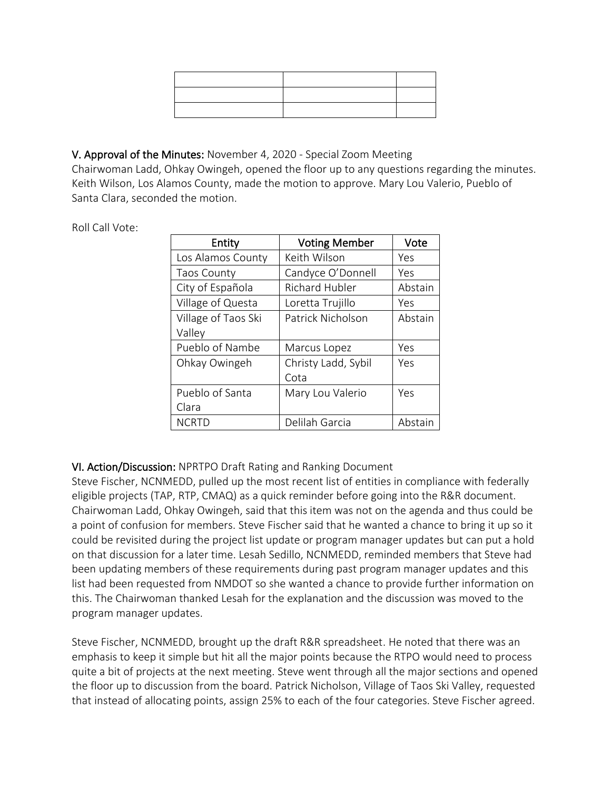## V. Approval of the Minutes: November 4, 2020 - Special Zoom Meeting

Chairwoman Ladd, Ohkay Owingeh, opened the floor up to any questions regarding the minutes. Keith Wilson, Los Alamos County, made the motion to approve. Mary Lou Valerio, Pueblo of Santa Clara, seconded the motion.

Roll Call Vote:

| Entity              | <b>Voting Member</b>  | Vote    |
|---------------------|-----------------------|---------|
| Los Alamos County   | Keith Wilson          | Yes     |
| <b>Taos County</b>  | Candyce O'Donnell     | Yes     |
| City of Española    | <b>Richard Hubler</b> | Abstain |
| Village of Questa   | Loretta Trujillo      | Yes     |
| Village of Taos Ski | Patrick Nicholson     | Abstain |
| Valley              |                       |         |
| Pueblo of Nambe     | Marcus Lopez          | Yes     |
| Ohkay Owingeh       | Christy Ladd, Sybil   | Yes     |
|                     | Cota                  |         |
| Pueblo of Santa     | Mary Lou Valerio      | Yes     |
| Clara               |                       |         |
| <b>NCRTD</b>        | Delilah Garcia        | Abstain |

# VI. Action/Discussion: NPRTPO Draft Rating and Ranking Document

Steve Fischer, NCNMEDD, pulled up the most recent list of entities in compliance with federally eligible projects (TAP, RTP, CMAQ) as a quick reminder before going into the R&R document. Chairwoman Ladd, Ohkay Owingeh, said that this item was not on the agenda and thus could be a point of confusion for members. Steve Fischer said that he wanted a chance to bring it up so it could be revisited during the project list update or program manager updates but can put a hold on that discussion for a later time. Lesah Sedillo, NCNMEDD, reminded members that Steve had been updating members of these requirements during past program manager updates and this list had been requested from NMDOT so she wanted a chance to provide further information on this. The Chairwoman thanked Lesah for the explanation and the discussion was moved to the program manager updates.

Steve Fischer, NCNMEDD, brought up the draft R&R spreadsheet. He noted that there was an emphasis to keep it simple but hit all the major points because the RTPO would need to process quite a bit of projects at the next meeting. Steve went through all the major sections and opened the floor up to discussion from the board. Patrick Nicholson, Village of Taos Ski Valley, requested that instead of allocating points, assign 25% to each of the four categories. Steve Fischer agreed.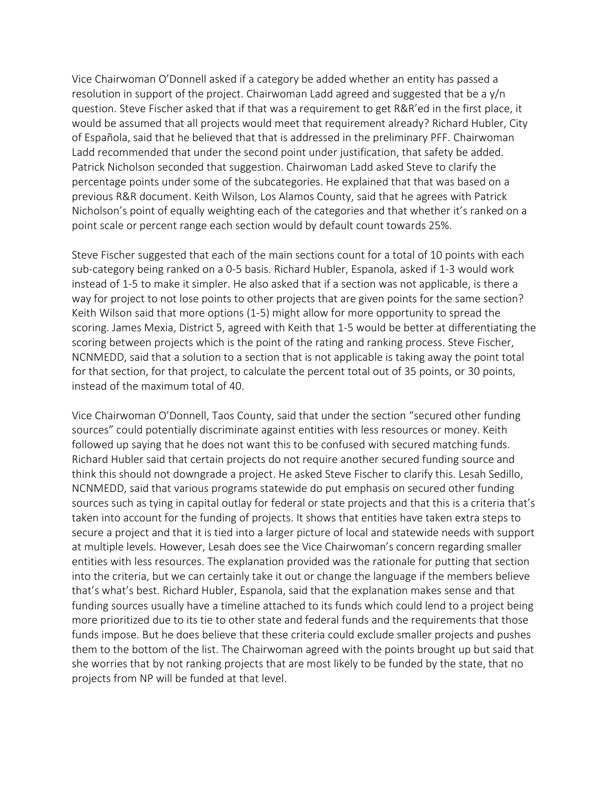Vice Chairwoman O'Donnell asked if a category be added whether an entity has passed a resolution in support of the project. Chairwoman Ladd agreed and suggested that be a y/n question. Steve Fischer asked that if that was a requirement to get R&R'ed in the first place, it would be assumed that all projects would meet that requirement already? Richard Hubler, City of Española, said that he believed that that is addressed in the preliminary PFF. Chairwoman Ladd recommended that under the second point under justification, that safety be added. Patrick Nicholson seconded that suggestion. Chairwoman Ladd asked Steve to clarify the percentage points under some of the subcategories. He explained that that was based on a previous R&R document. Keith Wilson, Los Alamos County, said that he agrees with Patrick Nicholson's point of equally weighting each of the categories and that whether it's ranked on a point scale or percent range each section would by default count towards 25%.

Steve Fischer suggested that each of the main sections count for a total of 10 points with each sub-category being ranked on a 0-5 basis. Richard Hubler, Espanola, asked if 1-3 would work instead of 1-5 to make it simpler. He also asked that if a section was not applicable, is there a way for project to not lose points to other projects that are given points for the same section? Keith Wilson said that more options (1-5) might allow for more opportunity to spread the scoring. James Mexia, District 5, agreed with Keith that 1-5 would be better at differentiating the scoring between projects which is the point of the rating and ranking process. Steve Fischer, NCNMEDD, said that a solution to a section that is not applicable is taking away the point total for that section, for that project, to calculate the percent total out of 35 points, or 30 points, instead of the maximum total of 40.

Vice Chairwoman O'Donnell, Taos County, said that under the section "secured other funding sources" could potentially discriminate against entities with less resources or money. Keith followed up saying that he does not want this to be confused with secured matching funds. Richard Hubler said that certain projects do not require another secured funding source and think this should not downgrade a project. He asked Steve Fischer to clarify this. Lesah Sedillo, NCNMEDD, said that various programs statewide do put emphasis on secured other funding sources such as tying in capital outlay for federal or state projects and that this is a criteria that's taken into account for the funding of projects. It shows that entities have taken extra steps to secure a project and that it is tied into a larger picture of local and statewide needs with support at multiple levels. However, Lesah does see the Vice Chairwoman's concern regarding smaller entities with less resources. The explanation provided was the rationale for putting that section into the criteria, but we can certainly take it out or change the language if the members believe that's what's best. Richard Hubler, Espanola, said that the explanation makes sense and that funding sources usually have a timeline attached to its funds which could lend to a project being more prioritized due to its tie to other state and federal funds and the requirements that those funds impose. But he does believe that these criteria could exclude smaller projects and pushes them to the bottom of the list. The Chairwoman agreed with the points brought up but said that she worries that by not ranking projects that are most likely to be funded by the state, that no projects from NP will be funded at that level.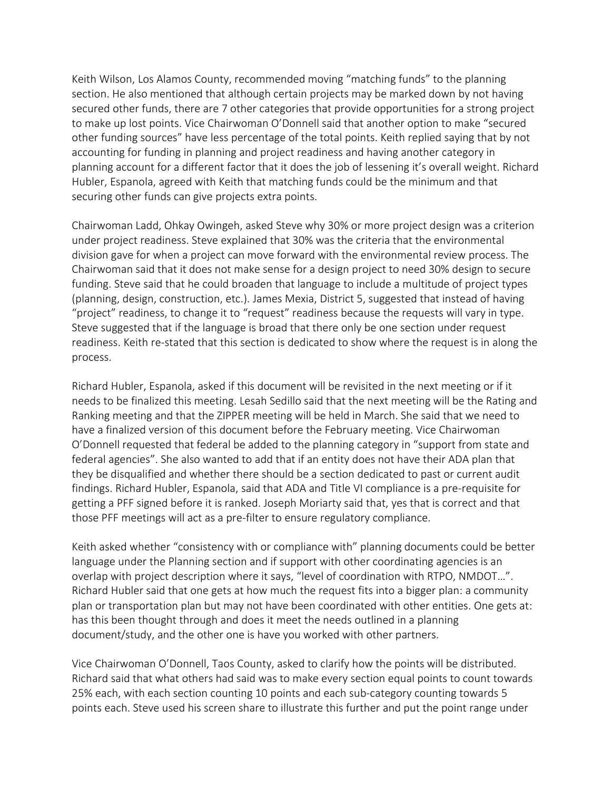Keith Wilson, Los Alamos County, recommended moving "matching funds" to the planning section. He also mentioned that although certain projects may be marked down by not having secured other funds, there are 7 other categories that provide opportunities for a strong project to make up lost points. Vice Chairwoman O'Donnell said that another option to make "secured other funding sources" have less percentage of the total points. Keith replied saying that by not accounting for funding in planning and project readiness and having another category in planning account for a different factor that it does the job of lessening it's overall weight. Richard Hubler, Espanola, agreed with Keith that matching funds could be the minimum and that securing other funds can give projects extra points.

Chairwoman Ladd, Ohkay Owingeh, asked Steve why 30% or more project design was a criterion under project readiness. Steve explained that 30% was the criteria that the environmental division gave for when a project can move forward with the environmental review process. The Chairwoman said that it does not make sense for a design project to need 30% design to secure funding. Steve said that he could broaden that language to include a multitude of project types (planning, design, construction, etc.). James Mexia, District 5, suggested that instead of having "project" readiness, to change it to "request" readiness because the requests will vary in type. Steve suggested that if the language is broad that there only be one section under request readiness. Keith re-stated that this section is dedicated to show where the request is in along the process.

Richard Hubler, Espanola, asked if this document will be revisited in the next meeting or if it needs to be finalized this meeting. Lesah Sedillo said that the next meeting will be the Rating and Ranking meeting and that the ZIPPER meeting will be held in March. She said that we need to have a finalized version of this document before the February meeting. Vice Chairwoman O'Donnell requested that federal be added to the planning category in "support from state and federal agencies". She also wanted to add that if an entity does not have their ADA plan that they be disqualified and whether there should be a section dedicated to past or current audit findings. Richard Hubler, Espanola, said that ADA and Title VI compliance is a pre-requisite for getting a PFF signed before it is ranked. Joseph Moriarty said that, yes that is correct and that those PFF meetings will act as a pre-filter to ensure regulatory compliance.

Keith asked whether "consistency with or compliance with" planning documents could be better language under the Planning section and if support with other coordinating agencies is an overlap with project description where it says, "level of coordination with RTPO, NMDOT…". Richard Hubler said that one gets at how much the request fits into a bigger plan: a community plan or transportation plan but may not have been coordinated with other entities. One gets at: has this been thought through and does it meet the needs outlined in a planning document/study, and the other one is have you worked with other partners.

Vice Chairwoman O'Donnell, Taos County, asked to clarify how the points will be distributed. Richard said that what others had said was to make every section equal points to count towards 25% each, with each section counting 10 points and each sub-category counting towards 5 points each. Steve used his screen share to illustrate this further and put the point range under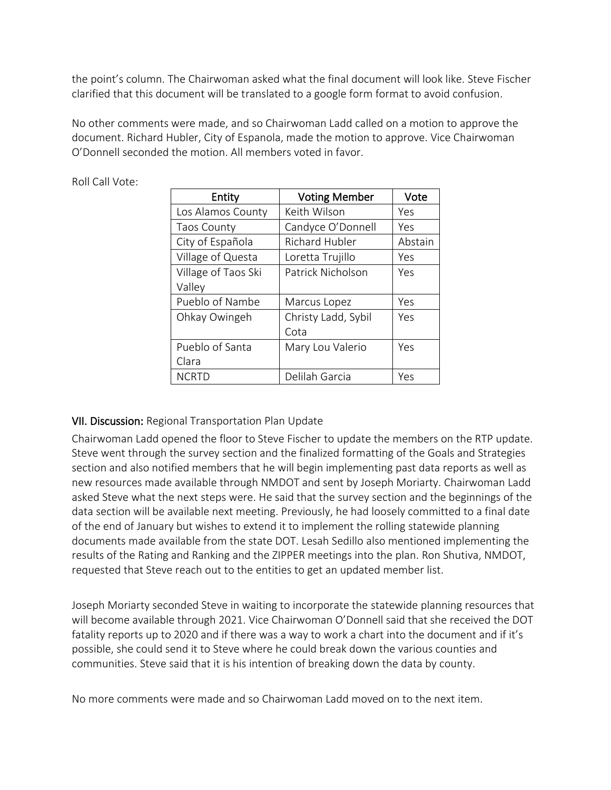the point's column. The Chairwoman asked what the final document will look like. Steve Fischer clarified that this document will be translated to a google form format to avoid confusion.

No other comments were made, and so Chairwoman Ladd called on a motion to approve the document. Richard Hubler, City of Espanola, made the motion to approve. Vice Chairwoman O'Donnell seconded the motion. All members voted in favor.

| Entity              | <b>Voting Member</b> | Vote    |
|---------------------|----------------------|---------|
| Los Alamos County   | Keith Wilson         | Yes     |
| <b>Taos County</b>  | Candyce O'Donnell    | Yes     |
| City of Española    | Richard Hubler       | Abstain |
| Village of Questa   | Loretta Trujillo     | Yes     |
| Village of Taos Ski | Patrick Nicholson    | Yes     |
| Valley              |                      |         |
| Pueblo of Nambe     | Marcus Lopez         | Yes     |
| Ohkay Owingeh       | Christy Ladd, Sybil  | Yes     |
|                     | Cota                 |         |
| Pueblo of Santa     | Mary Lou Valerio     | Yes     |
| Clara               |                      |         |
| <b>NCRTD</b>        | Delilah Garcia       | Yes     |

Roll Call Vote:

## VII. Discussion: Regional Transportation Plan Update

Chairwoman Ladd opened the floor to Steve Fischer to update the members on the RTP update. Steve went through the survey section and the finalized formatting of the Goals and Strategies section and also notified members that he will begin implementing past data reports as well as new resources made available through NMDOT and sent by Joseph Moriarty. Chairwoman Ladd asked Steve what the next steps were. He said that the survey section and the beginnings of the data section will be available next meeting. Previously, he had loosely committed to a final date of the end of January but wishes to extend it to implement the rolling statewide planning documents made available from the state DOT. Lesah Sedillo also mentioned implementing the results of the Rating and Ranking and the ZIPPER meetings into the plan. Ron Shutiva, NMDOT, requested that Steve reach out to the entities to get an updated member list.

Joseph Moriarty seconded Steve in waiting to incorporate the statewide planning resources that will become available through 2021. Vice Chairwoman O'Donnell said that she received the DOT fatality reports up to 2020 and if there was a way to work a chart into the document and if it's possible, she could send it to Steve where he could break down the various counties and communities. Steve said that it is his intention of breaking down the data by county.

No more comments were made and so Chairwoman Ladd moved on to the next item.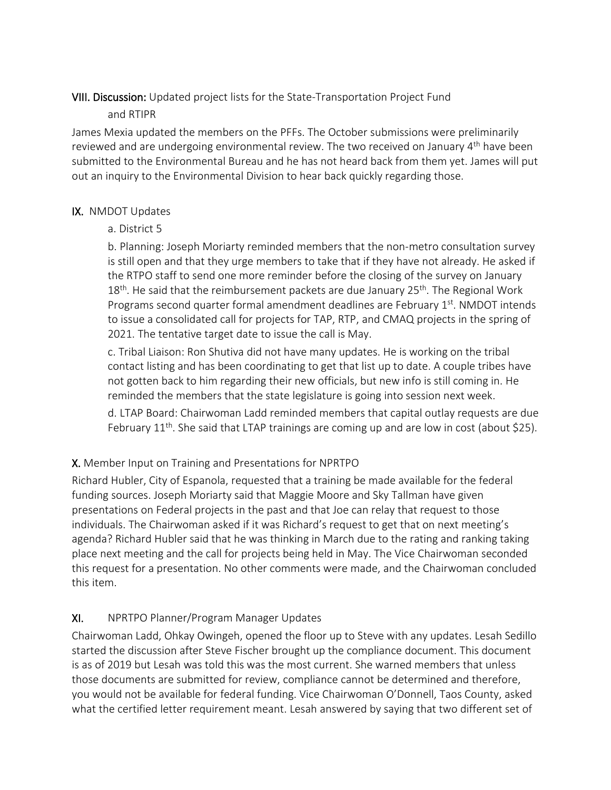## VIII. Discussion: Updated project lists for the State-Transportation Project Fund

## and RTIPR

James Mexia updated the members on the PFFs. The October submissions were preliminarily reviewed and are undergoing environmental review. The two received on January 4<sup>th</sup> have been submitted to the Environmental Bureau and he has not heard back from them yet. James will put out an inquiry to the Environmental Division to hear back quickly regarding those.

## IX. NMDOT Updates

a. District 5

b. Planning: Joseph Moriarty reminded members that the non-metro consultation survey is still open and that they urge members to take that if they have not already. He asked if the RTPO staff to send one more reminder before the closing of the survey on January 18<sup>th</sup>. He said that the reimbursement packets are due January 25<sup>th</sup>. The Regional Work Programs second quarter formal amendment deadlines are February 1<sup>st</sup>. NMDOT intends to issue a consolidated call for projects for TAP, RTP, and CMAQ projects in the spring of 2021. The tentative target date to issue the call is May.

c. Tribal Liaison: Ron Shutiva did not have many updates. He is working on the tribal contact listing and has been coordinating to get that list up to date. A couple tribes have not gotten back to him regarding their new officials, but new info is still coming in. He reminded the members that the state legislature is going into session next week.

d. LTAP Board: Chairwoman Ladd reminded members that capital outlay requests are due February 11<sup>th</sup>. She said that LTAP trainings are coming up and are low in cost (about \$25).

# X. Member Input on Training and Presentations for NPRTPO

Richard Hubler, City of Espanola, requested that a training be made available for the federal funding sources. Joseph Moriarty said that Maggie Moore and Sky Tallman have given presentations on Federal projects in the past and that Joe can relay that request to those individuals. The Chairwoman asked if it was Richard's request to get that on next meeting's agenda? Richard Hubler said that he was thinking in March due to the rating and ranking taking place next meeting and the call for projects being held in May. The Vice Chairwoman seconded this request for a presentation. No other comments were made, and the Chairwoman concluded this item.

# XI. NPRTPO Planner/Program Manager Updates

Chairwoman Ladd, Ohkay Owingeh, opened the floor up to Steve with any updates. Lesah Sedillo started the discussion after Steve Fischer brought up the compliance document. This document is as of 2019 but Lesah was told this was the most current. She warned members that unless those documents are submitted for review, compliance cannot be determined and therefore, you would not be available for federal funding. Vice Chairwoman O'Donnell, Taos County, asked what the certified letter requirement meant. Lesah answered by saying that two different set of